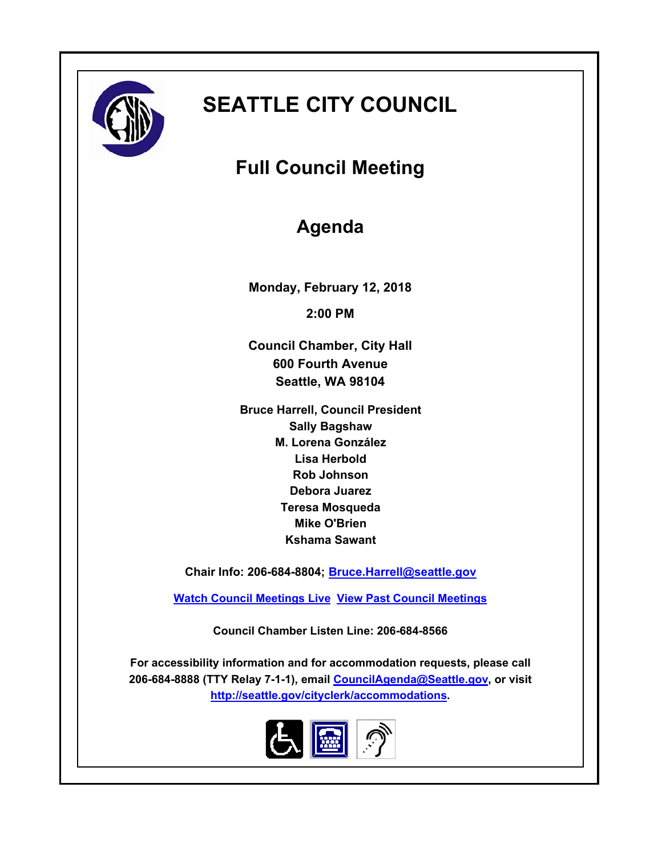

# **SEATTLE CITY COUNCIL**

## **Full Council Meeting**

## **Agenda**

**Monday, February 12, 2018 2:00 PM**

**Council Chamber, City Hall 600 Fourth Avenue Seattle, WA 98104**

**Bruce Harrell, Council President Sally Bagshaw M. Lorena González Lisa Herbold Rob Johnson Debora Juarez Teresa Mosqueda Mike O'Brien Kshama Sawant**

**Chair Info: 206-684-8804; [Bruce.Harrell@seattle.gov](mailto:Bruce.Harrell@seattle.gov)**

**[Watch Council Meetings Live](http://www.seattle.gov/council/councillive.htm) [View Past Council Meetings](http://www.seattlechannel.org/videos/browseVideos.asp?topic=council)**

**Council Chamber Listen Line: 206-684-8566**

**For accessibility information and for accommodation requests, please call 206-684-8888 (TTY Relay 7-1-1), email [CouncilAgenda@Seattle.gov](mailto: Council.Agenda@Seattle.gov), or visit <http://seattle.gov/cityclerk/accommodations>.**

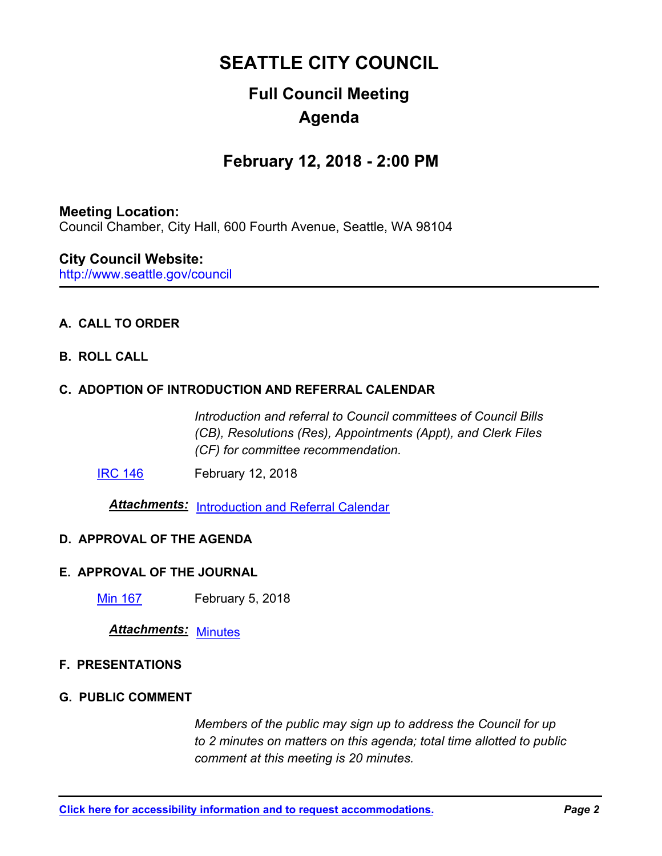## **SEATTLE CITY COUNCIL**

## **Full Council Meeting Agenda**

### **February 12, 2018 - 2:00 PM**

#### **Meeting Location:**

Council Chamber, City Hall, 600 Fourth Avenue, Seattle, WA 98104

#### **City Council Website:**

http://www.seattle.gov/council

#### **A. CALL TO ORDER**

#### **B. ROLL CALL**

#### **C. ADOPTION OF INTRODUCTION AND REFERRAL CALENDAR**

*Introduction and referral to Council committees of Council Bills (CB), Resolutions (Res), Appointments (Appt), and Clerk Files (CF) for committee recommendation.*

**[IRC 146](http://seattle.legistar.com/gateway.aspx?m=l&id=/matter.aspx?key=6796)** February 12, 2018

*Attachments:* [Introduction and Referral Calendar](http://seattle.legistar.com/gateway.aspx?M=F&ID=005373fd-7ba5-4eae-8c7b-10347b0d7dc3.pdf)

#### **D. APPROVAL OF THE AGENDA**

#### **E. APPROVAL OF THE JOURNAL**

**[Min 167](http://seattle.legistar.com/gateway.aspx?m=l&id=/matter.aspx?key=6797) February 5, 2018** 

*Attachments:* [Minutes](http://seattle.legistar.com/gateway.aspx?M=F&ID=3aa4adb2-205f-4b26-9139-cbcb3c8993f3.pdf)

#### **F. PRESENTATIONS**

#### **G. PUBLIC COMMENT**

*Members of the public may sign up to address the Council for up to 2 minutes on matters on this agenda; total time allotted to public comment at this meeting is 20 minutes.*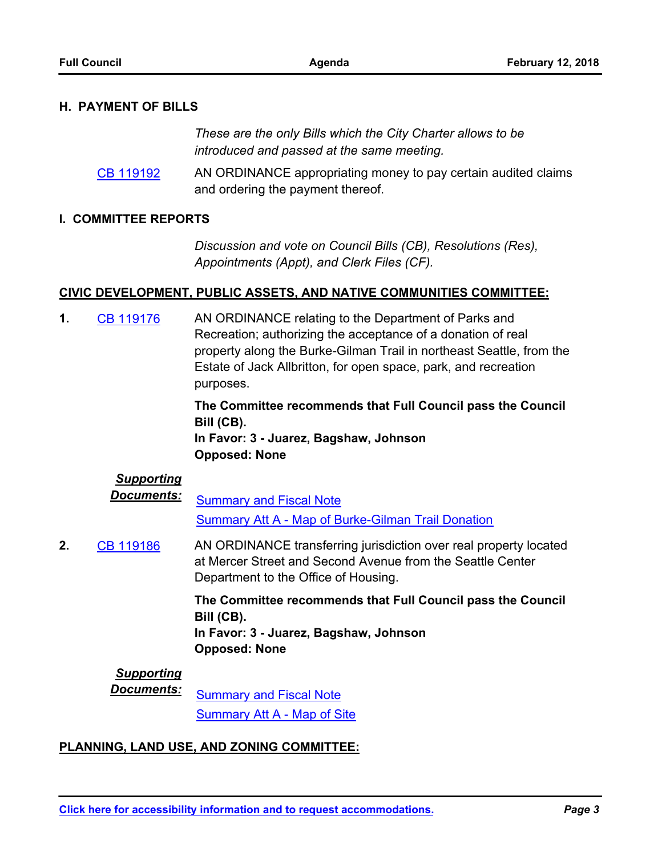#### **H. PAYMENT OF BILLS**

*These are the only Bills which the City Charter allows to be introduced and passed at the same meeting.*

AN ORDINANCE appropriating money to pay certain audited claims and ordering the payment thereof. [CB 119192](http://seattle.legistar.com/gateway.aspx?m=l&id=/matter.aspx?key=6771)

#### **I. COMMITTEE REPORTS**

*Discussion and vote on Council Bills (CB), Resolutions (Res), Appointments (Appt), and Clerk Files (CF).*

#### **CIVIC DEVELOPMENT, PUBLIC ASSETS, AND NATIVE COMMUNITIES COMMITTEE:**

AN ORDINANCE relating to the Department of Parks and Recreation; authorizing the acceptance of a donation of real property along the Burke-Gilman Trail in northeast Seattle, from the Estate of Jack Allbritton, for open space, park, and recreation purposes. **1.** [CB 119176](http://seattle.legistar.com/gateway.aspx?m=l&id=/matter.aspx?key=6553)

> **The Committee recommends that Full Council pass the Council Bill (CB). In Favor: 3 - Juarez, Bagshaw, Johnson**

#### **Opposed: None**

#### *Supporting*

**Documents:** [Summary and Fiscal Note](http://seattle.legistar.com/gateway.aspx?M=F&ID=36af161b-4edb-4876-ba0c-35b46fc7d7d2.docx) [Summary Att A - Map of Burke-Gilman Trail Donation](http://seattle.legistar.com/gateway.aspx?M=F&ID=a1714f0c-a27d-45dd-a8df-7085074e91e7.docx)

AN ORDINANCE transferring jurisdiction over real property located at Mercer Street and Second Avenue from the Seattle Center Department to the Office of Housing. **2.** [CB 119186](http://seattle.legistar.com/gateway.aspx?m=l&id=/matter.aspx?key=6718)

> **The Committee recommends that Full Council pass the Council Bill (CB). In Favor: 3 - Juarez, Bagshaw, Johnson**

**Opposed: None**

#### *Supporting*

*Documents:* [Summary and Fiscal Note](http://seattle.legistar.com/gateway.aspx?M=F&ID=f98e9ee7-171a-4a2f-875d-22bed1774a5e.docx) [Summary Att A - Map of Site](http://seattle.legistar.com/gateway.aspx?M=F&ID=75e7eae4-ec12-4fb0-b6ad-943bd8972bc3.docx)

#### **PLANNING, LAND USE, AND ZONING COMMITTEE:**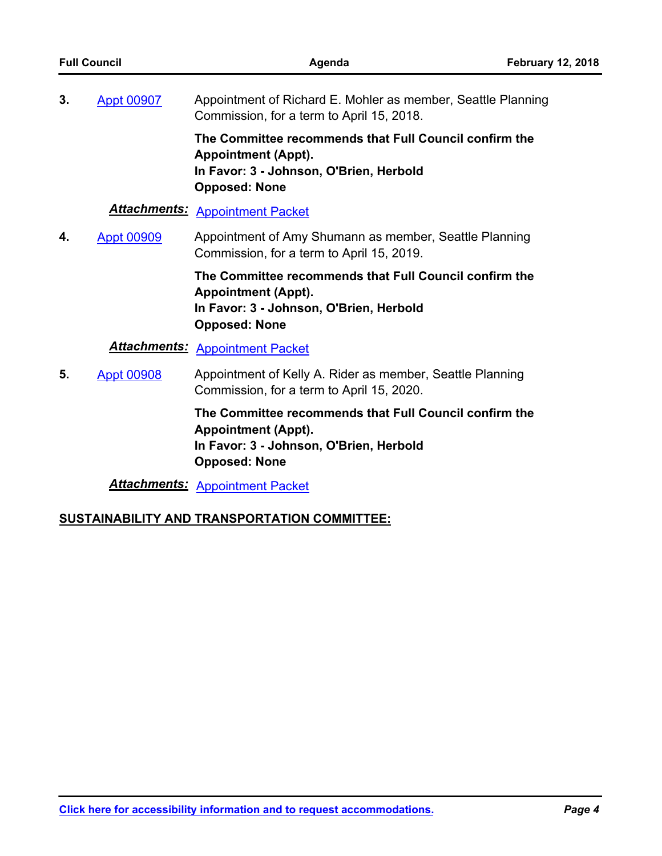| <b>Full Council</b> |                   | Agenda                                                                                                                                                  | <b>February 12, 2018</b> |
|---------------------|-------------------|---------------------------------------------------------------------------------------------------------------------------------------------------------|--------------------------|
| 3.                  | <b>Appt 00907</b> | Appointment of Richard E. Mohler as member, Seattle Planning<br>Commission, for a term to April 15, 2018.                                               |                          |
|                     |                   | The Committee recommends that Full Council confirm the<br><b>Appointment (Appt).</b><br>In Favor: 3 - Johnson, O'Brien, Herbold<br><b>Opposed: None</b> |                          |
|                     |                   | <b>Attachments: Appointment Packet</b>                                                                                                                  |                          |
| 4.                  | <b>Appt 00909</b> | Appointment of Amy Shumann as member, Seattle Planning<br>Commission, for a term to April 15, 2019.                                                     |                          |
|                     |                   | The Committee recommends that Full Council confirm the<br><b>Appointment (Appt).</b><br>In Favor: 3 - Johnson, O'Brien, Herbold<br><b>Opposed: None</b> |                          |
|                     |                   | <b>Attachments: Appointment Packet</b>                                                                                                                  |                          |
| 5.                  | <b>Appt 00908</b> | Appointment of Kelly A. Rider as member, Seattle Planning<br>Commission, for a term to April 15, 2020.                                                  |                          |
|                     |                   | The Committee recommends that Full Council confirm the<br><b>Appointment (Appt).</b><br>In Favor: 3 - Johnson, O'Brien, Herbold<br><b>Opposed: None</b> |                          |
|                     |                   | <b>Attachments: Appointment Packet</b>                                                                                                                  |                          |
|                     |                   | SUSTAINABILITY AND TRANSPORTATION COMMITTEE:                                                                                                            |                          |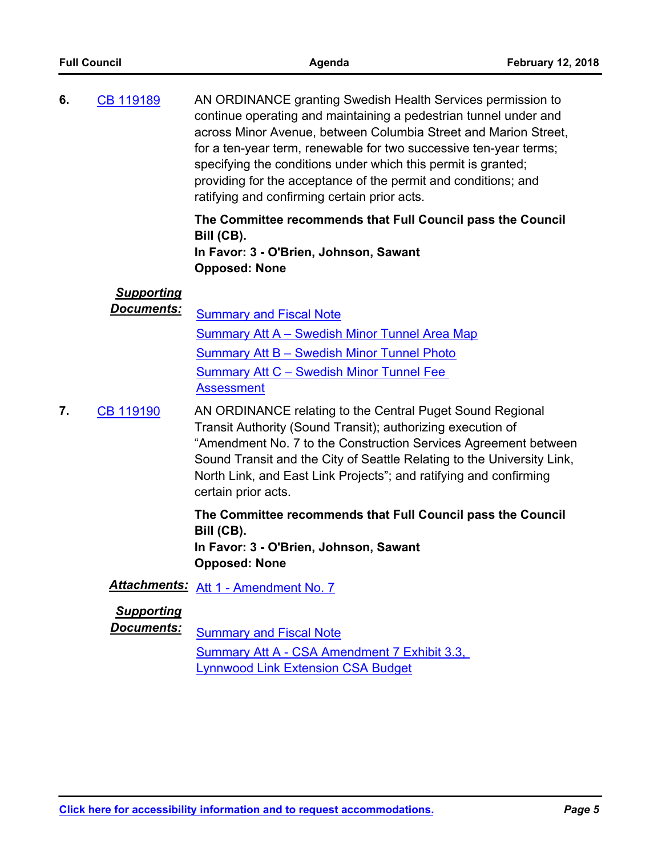| <b>Full Council</b> |                                        | Agenda                                                                                                                                                                                                                                                                                                                                                                                                                                                     | <b>February 12, 2018</b> |
|---------------------|----------------------------------------|------------------------------------------------------------------------------------------------------------------------------------------------------------------------------------------------------------------------------------------------------------------------------------------------------------------------------------------------------------------------------------------------------------------------------------------------------------|--------------------------|
| 6.                  | CB 119189                              | AN ORDINANCE granting Swedish Health Services permission to<br>continue operating and maintaining a pedestrian tunnel under and<br>across Minor Avenue, between Columbia Street and Marion Street,<br>for a ten-year term, renewable for two successive ten-year terms;<br>specifying the conditions under which this permit is granted;<br>providing for the acceptance of the permit and conditions; and<br>ratifying and confirming certain prior acts. |                          |
|                     |                                        | The Committee recommends that Full Council pass the Council<br>Bill (CB).<br>In Favor: 3 - O'Brien, Johnson, Sawant<br><b>Opposed: None</b>                                                                                                                                                                                                                                                                                                                |                          |
|                     | <b>Supporting</b><br><u>Documents:</u> | <b>Summary and Fiscal Note</b><br>Summary Att A – Swedish Minor Tunnel Area Map<br><b>Summary Att B - Swedish Minor Tunnel Photo</b><br><b>Summary Att C - Swedish Minor Tunnel Fee</b><br><b>Assessment</b>                                                                                                                                                                                                                                               |                          |
| 7.                  | CB 119190                              | AN ORDINANCE relating to the Central Puget Sound Regional<br>Transit Authority (Sound Transit); authorizing execution of<br>" $\Lambda$ mondmont $\Lambda$ lo. 7 to the Construction Services $\Lambda$ greement between                                                                                                                                                                                                                                   |                          |

"Amendment No. 7 to the Construction Services Agreement between Sound Transit and the City of Seattle Relating to the University Link, North Link, and East Link Projects"; and ratifying and confirming certain prior acts.

**The Committee recommends that Full Council pass the Council Bill (CB). In Favor: 3 - O'Brien, Johnson, Sawant Opposed: None**

### *Attachments:* [Att 1 - Amendment No. 7](http://seattle.legistar.com/gateway.aspx?M=F&ID=f27bad1d-1485-43cf-a532-264b24064167.pdf)

#### *Supporting*

**Documents:** [Summary and Fiscal Note](http://seattle.legistar.com/gateway.aspx?M=F&ID=9ba15f53-fa03-4b5a-b62d-c7351c7e455a.docx)

[Summary Att A - CSA Amendment 7 Exhibit 3.3,](http://seattle.legistar.com/gateway.aspx?M=F&ID=1e17ebc7-0c2c-4595-8ff7-d24980c35aac.pdf)  Lynnwood Link Extension CSA Budget